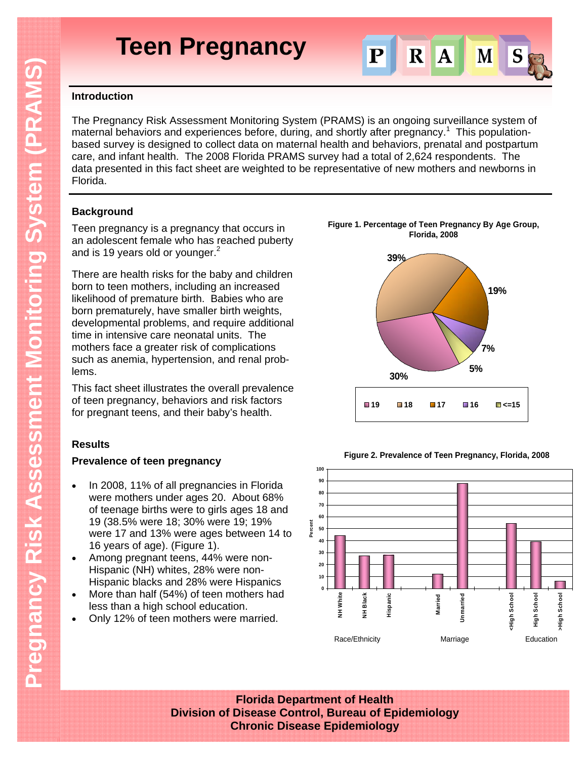

## **Introduction**

The Pregnancy Risk Assessment Monitoring System (PRAMS) is an ongoing surveillance system of maternal behaviors and experiences before, during, and shortly after pregnancy.<sup>1</sup> This populationbased survey is designed to collect data on maternal health and behaviors, prenatal and postpartum care, and infant health. The 2008 Florida PRAMS survey had a total of 2,624 respondents. The data presented in this fact sheet are weighted to be representative of new mothers and newborns in Florida.

## **Background**

Teen pregnancy is a pregnancy that occurs in an adolescent female who has reached puberty and is 19 years old or younger. $2$ 

There are health risks for the baby and children born to teen mothers, including an increased likelihood of premature birth. Babies who are born prematurely, have smaller birth weights, developmental problems, and require additional time in intensive care neonatal units. The mothers face a greater risk of complications such as anemia, hypertension, and renal problems.

This fact sheet illustrates the overall prevalence of teen pregnancy, behaviors and risk factors for pregnant teens, and their baby's health.

## **Results**

## **Prevalence of teen pregnancy**

- In 2008, 11% of all pregnancies in Florida were mothers under ages 20. About 68% of teenage births were to girls ages 18 and 19 (38.5% were 18; 30% were 19; 19% were 17 and 13% were ages between 14 to 16 years of age). (Figure 1).
- Among pregnant teens, 44% were non-Hispanic (NH) whites, 28% were non-Hispanic blacks and 28% were Hispanics
- More than half (54%) of teen mothers had less than a high school education.
- Only 12% of teen mothers were married.

**Figure 1. Percentage of Teen Pregnancy By Age Group, Florida, 2008**



**Figure 2. Prevalence of Teen Pregnancy, Florida, 2008** 



**Florida Department of Health Division of Disease Control, Bureau of Epidemiology Chronic Disease Epidemiology**